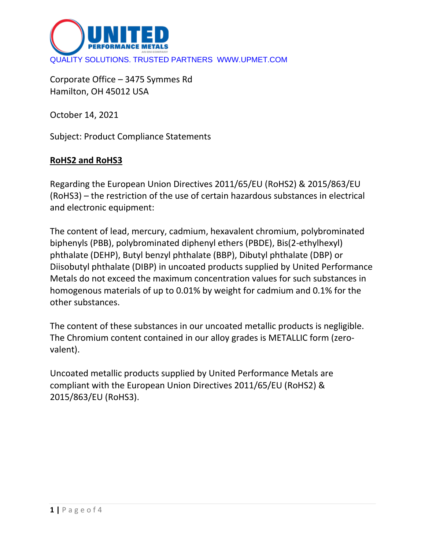

Corporate Office – 3475 Symmes Rd Hamilton, OH 45012 USA

October 14, 2021

Subject: Product Compliance Statements

# **RoHS2 and RoHS3**

Regarding the European Union Directives 2011/65/EU (RoHS2) & 2015/863/EU (RoHS3) – the restriction of the use of certain hazardous substances in electrical and electronic equipment:

The content of lead, mercury, cadmium, hexavalent chromium, polybrominated biphenyls (PBB), polybrominated diphenyl ethers (PBDE), Bis(2-ethylhexyl) phthalate (DEHP), Butyl benzyl phthalate (BBP), Dibutyl phthalate (DBP) or Diisobutyl phthalate (DIBP) in uncoated products supplied by United Performance Metals do not exceed the maximum concentration values for such substances in homogenous materials of up to 0.01% by weight for cadmium and 0.1% for the other substances.

The content of these substances in our uncoated metallic products is negligible. The Chromium content contained in our alloy grades is METALLIC form (zerovalent).

Uncoated metallic products supplied by United Performance Metals are compliant with the European Union Directives 2011/65/EU (RoHS2) & 2015/863/EU (RoHS3).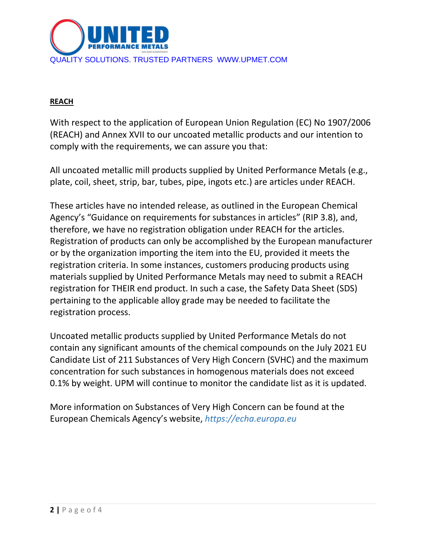

#### **REACH**

With respect to the application of European Union Regulation (EC) No 1907/2006 (REACH) and Annex XVII to our uncoated metallic products and our intention to comply with the requirements, we can assure you that:

All uncoated metallic mill products supplied by United Performance Metals (e.g., plate, coil, sheet, strip, bar, tubes, pipe, ingots etc.) are articles under REACH.

These articles have no intended release, as outlined in the European Chemical Agency's "Guidance on requirements for substances in articles" (RIP 3.8), and, therefore, we have no registration obligation under REACH for the articles. Registration of products can only be accomplished by the European manufacturer or by the organization importing the item into the EU, provided it meets the registration criteria. In some instances, customers producing products using materials supplied by United Performance Metals may need to submit a REACH registration for THEIR end product. In such a case, the Safety Data Sheet (SDS) pertaining to the applicable alloy grade may be needed to facilitate the registration process.

Uncoated metallic products supplied by United Performance Metals do not contain any significant amounts of the chemical compounds on the July 2021 EU Candidate List of 211 Substances of Very High Concern (SVHC) and the maximum concentration for such substances in homogenous materials does not exceed 0.1% by weight. UPM will continue to monitor the candidate list as it is updated.

More information on Substances of Very High Concern can be found at the European Chemicals Agency's website, *https://echa.europa.eu*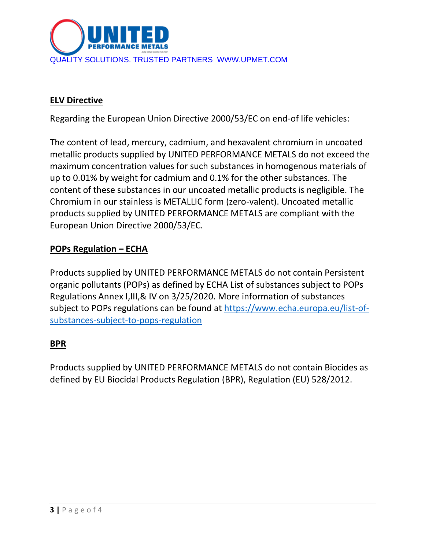

### **ELV Directive**

Regarding the European Union Directive 2000/53/EC on end-of life vehicles:

The content of lead, mercury, cadmium, and hexavalent chromium in uncoated metallic products supplied by UNITED PERFORMANCE METALS do not exceed the maximum concentration values for such substances in homogenous materials of up to 0.01% by weight for cadmium and 0.1% for the other substances. The content of these substances in our uncoated metallic products is negligible. The Chromium in our stainless is METALLIC form (zero-valent). Uncoated metallic products supplied by UNITED PERFORMANCE METALS are compliant with the European Union Directive 2000/53/EC.

### **POPs Regulation – ECHA**

Products supplied by UNITED PERFORMANCE METALS do not contain Persistent organic pollutants (POPs) as defined by ECHA List of substances subject to POPs Regulations Annex I,III,& IV on 3/25/2020. More information of substances subject to POPs regulations can be found at [https://www.echa.europa.eu/list-of](https://www.echa.europa.eu/list-of-substances-subject-to-pops-regulation)[substances-subject-to-pops-regulation](https://www.echa.europa.eu/list-of-substances-subject-to-pops-regulation)

#### **BPR**

Products supplied by UNITED PERFORMANCE METALS do not contain Biocides as defined by EU Biocidal Products Regulation (BPR), Regulation (EU) 528/2012.